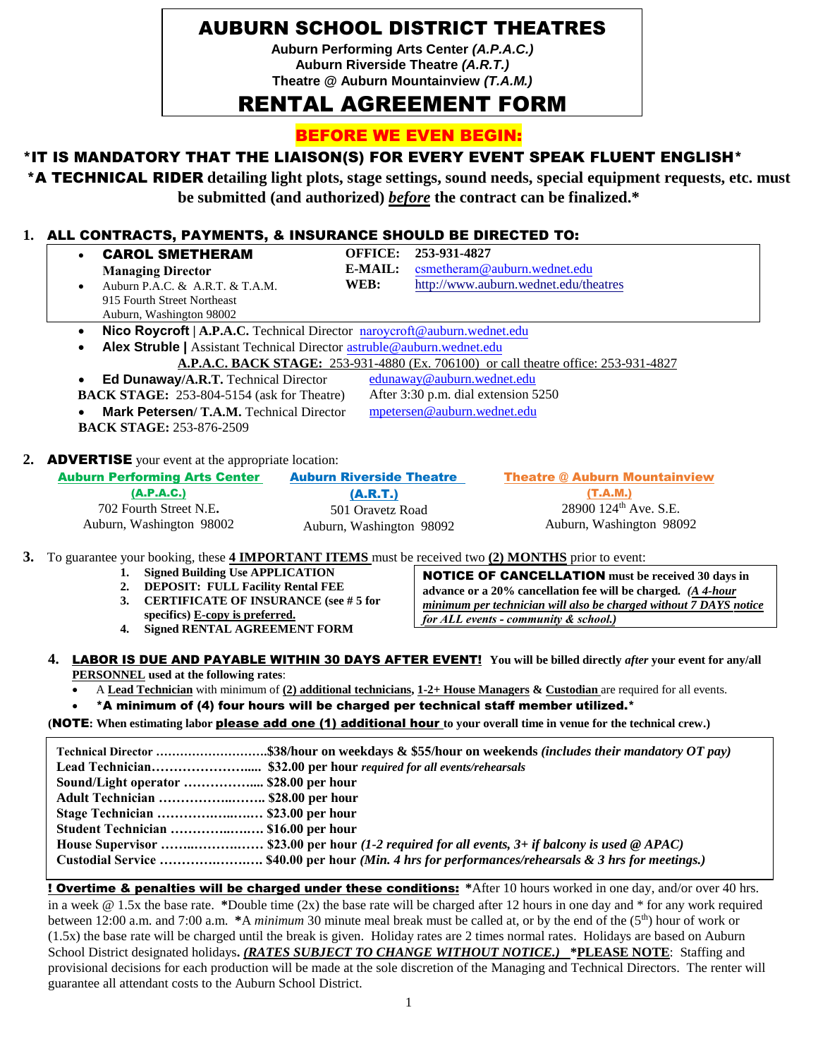## AUBURN SCHOOL DISTRICT THEATRES

**Auburn Performing Arts Center** *(A.P.A.C.)* **Auburn Riverside Theatre** *(A.R.T.)*  **Theatre @ Auburn Mountainview** *(T.A.M.)*

# RENTAL AGREEMENT FORM

BEFORE WE EVEN BEGIN:

#### \*IT IS MANDATORY THAT THE LIAISON(S) FOR EVERY EVENT SPEAK FLUENT ENGLISH\*

\*A TECHNICAL RIDER **detailing light plots, stage settings, sound needs, special equipment requests, etc. must be submitted (and authorized)** *before* **the contract can be finalized.\***

#### **1.** ALL CONTRACTS, PAYMENTS, & INSURANCE SHOULD BE DIRECTED TO:

| $\bullet$<br>E-MAIL:<br>csmetheram@auburn.wednet.edu<br><b>Managing Director</b><br>WEB:<br>http://www.auburn.wednet.edu/theatres<br>Auburn P.A.C. & A.R.T. & T.A.M.<br>$\bullet$<br>915 Fourth Street Northeast<br>Auburn, Washington 98002<br>Nico Roycroft   A.P.A.C. Technical Director naroycroft@auburn.wednet.edu<br>$\bullet$<br>Alex Struble   Assistant Technical Director astruble@auburn.wednet.edu<br>$\bullet$<br>A.P.A.C. BACK STAGE: 253-931-4880 (Ex. 706100) or call theatre office: 253-931-4827<br>edunaway@auburn.wednet.edu<br>Ed Dunaway/A.R.T. Technical Director<br>$\bullet$<br>After 3:30 p.m. dial extension 5250<br><b>BACK STAGE:</b> 253-804-5154 (ask for Theatre)<br>mpetersen@auburn.wednet.edu<br>Mark Petersen/T.A.M. Technical Director<br><b>BACK STAGE: 253-876-2509</b><br>2. ADVERTISE your event at the appropriate location:<br><b>Auburn Performing Arts Center</b><br><b>Auburn Riverside Theatre</b><br><b>Theatre @ Auburn Mountainview</b><br>(A.P.A.C.)<br>(T.A.M.)<br>(A.R.T.)<br>28900 124 <sup>th</sup> Ave. S.E.<br>702 Fourth Street N.E.<br>501 Oravetz Road<br>Auburn, Washington 98092<br>Auburn, Washington 98002<br>Auburn, Washington 98092<br><b>Signed Building Use APPLICATION</b><br>1.<br><b>NOTICE OF CANCELLATION</b> must be received 30 days in<br><b>DEPOSIT: FULL Facility Rental FEE</b><br>2.<br>advance or a 20% cancellation fee will be charged. (A 4-hour<br><b>CERTIFICATE OF INSURANCE (see # 5 for</b><br>3.<br>specifics) E-copy is preferred.<br>for ALL events - community & school.)<br><b>Signed RENTAL AGREEMENT FORM</b><br>4.<br>4. LABOR IS DUE AND PAYABLE WITHIN 30 DAYS AFTER EVENT! You will be billed directly after your event for any/all<br><b>PERSONNEL</b> used at the following rates:<br>A Lead Technician with minimum of (2) additional technicians, 1-2+ House Managers & Custodian are required for all events.<br>*A minimum of (4) four hours will be charged per technical staff member utilized.*<br>(NOTE: When estimating labor please add one (1) additional hour to your overall time in venue for the technical crew.)<br>Technical Director \$38/hour on weekdays & \$55/hour on weekends (includes their mandatory OT pay)<br>Sound/Light operator  \$28.00 per hour<br>Adult Technician  \$28.00 per hour<br>Stage Technician  \$23.00 per hour<br>Student Technician  \$16.00 per hour<br>House Supervisor  \$23.00 per hour (1-2 required for all events, 3+ if balcony is used @ APAC)<br>Custodial Service  \$40.00 per hour (Min. 4 hrs for performances/rehearsals & 3 hrs for meetings.)<br><b>Overtime &amp; penalties will be charged under these conditions:</b> *After 10 hours worked in one day, and/or over 40 hrs.<br>in a week $@ 1.5x$ the base rate. *Double time (2x) the base rate will be charged after 12 hours in one day and * for any work required |                                                                                                       | <b>CAROL SMETHERAM</b> | <b>OFFICE:</b> | 253-931-4827                                                      |  |
|---------------------------------------------------------------------------------------------------------------------------------------------------------------------------------------------------------------------------------------------------------------------------------------------------------------------------------------------------------------------------------------------------------------------------------------------------------------------------------------------------------------------------------------------------------------------------------------------------------------------------------------------------------------------------------------------------------------------------------------------------------------------------------------------------------------------------------------------------------------------------------------------------------------------------------------------------------------------------------------------------------------------------------------------------------------------------------------------------------------------------------------------------------------------------------------------------------------------------------------------------------------------------------------------------------------------------------------------------------------------------------------------------------------------------------------------------------------------------------------------------------------------------------------------------------------------------------------------------------------------------------------------------------------------------------------------------------------------------------------------------------------------------------------------------------------------------------------------------------------------------------------------------------------------------------------------------------------------------------------------------------------------------------------------------------------------------------------------------------------------------------------------------------------------------------------------------------------------------------------------------------------------------------------------------------------------------------------------------------------------------------------------------------------------------------------------------------------------------------------------------------------------------------------------------------------------------------------------------------------------------------------------------------------------------------------------------------------------------------------------------------------------------------------------------------------------------------------------------------------------------------------------------|-------------------------------------------------------------------------------------------------------|------------------------|----------------|-------------------------------------------------------------------|--|
|                                                                                                                                                                                                                                                                                                                                                                                                                                                                                                                                                                                                                                                                                                                                                                                                                                                                                                                                                                                                                                                                                                                                                                                                                                                                                                                                                                                                                                                                                                                                                                                                                                                                                                                                                                                                                                                                                                                                                                                                                                                                                                                                                                                                                                                                                                                                                                                                                                                                                                                                                                                                                                                                                                                                                                                                                                                                                                   |                                                                                                       |                        |                |                                                                   |  |
|                                                                                                                                                                                                                                                                                                                                                                                                                                                                                                                                                                                                                                                                                                                                                                                                                                                                                                                                                                                                                                                                                                                                                                                                                                                                                                                                                                                                                                                                                                                                                                                                                                                                                                                                                                                                                                                                                                                                                                                                                                                                                                                                                                                                                                                                                                                                                                                                                                                                                                                                                                                                                                                                                                                                                                                                                                                                                                   |                                                                                                       |                        |                |                                                                   |  |
|                                                                                                                                                                                                                                                                                                                                                                                                                                                                                                                                                                                                                                                                                                                                                                                                                                                                                                                                                                                                                                                                                                                                                                                                                                                                                                                                                                                                                                                                                                                                                                                                                                                                                                                                                                                                                                                                                                                                                                                                                                                                                                                                                                                                                                                                                                                                                                                                                                                                                                                                                                                                                                                                                                                                                                                                                                                                                                   |                                                                                                       |                        |                |                                                                   |  |
|                                                                                                                                                                                                                                                                                                                                                                                                                                                                                                                                                                                                                                                                                                                                                                                                                                                                                                                                                                                                                                                                                                                                                                                                                                                                                                                                                                                                                                                                                                                                                                                                                                                                                                                                                                                                                                                                                                                                                                                                                                                                                                                                                                                                                                                                                                                                                                                                                                                                                                                                                                                                                                                                                                                                                                                                                                                                                                   |                                                                                                       |                        |                |                                                                   |  |
|                                                                                                                                                                                                                                                                                                                                                                                                                                                                                                                                                                                                                                                                                                                                                                                                                                                                                                                                                                                                                                                                                                                                                                                                                                                                                                                                                                                                                                                                                                                                                                                                                                                                                                                                                                                                                                                                                                                                                                                                                                                                                                                                                                                                                                                                                                                                                                                                                                                                                                                                                                                                                                                                                                                                                                                                                                                                                                   |                                                                                                       |                        |                |                                                                   |  |
|                                                                                                                                                                                                                                                                                                                                                                                                                                                                                                                                                                                                                                                                                                                                                                                                                                                                                                                                                                                                                                                                                                                                                                                                                                                                                                                                                                                                                                                                                                                                                                                                                                                                                                                                                                                                                                                                                                                                                                                                                                                                                                                                                                                                                                                                                                                                                                                                                                                                                                                                                                                                                                                                                                                                                                                                                                                                                                   |                                                                                                       |                        |                |                                                                   |  |
|                                                                                                                                                                                                                                                                                                                                                                                                                                                                                                                                                                                                                                                                                                                                                                                                                                                                                                                                                                                                                                                                                                                                                                                                                                                                                                                                                                                                                                                                                                                                                                                                                                                                                                                                                                                                                                                                                                                                                                                                                                                                                                                                                                                                                                                                                                                                                                                                                                                                                                                                                                                                                                                                                                                                                                                                                                                                                                   |                                                                                                       |                        |                |                                                                   |  |
|                                                                                                                                                                                                                                                                                                                                                                                                                                                                                                                                                                                                                                                                                                                                                                                                                                                                                                                                                                                                                                                                                                                                                                                                                                                                                                                                                                                                                                                                                                                                                                                                                                                                                                                                                                                                                                                                                                                                                                                                                                                                                                                                                                                                                                                                                                                                                                                                                                                                                                                                                                                                                                                                                                                                                                                                                                                                                                   |                                                                                                       |                        |                |                                                                   |  |
|                                                                                                                                                                                                                                                                                                                                                                                                                                                                                                                                                                                                                                                                                                                                                                                                                                                                                                                                                                                                                                                                                                                                                                                                                                                                                                                                                                                                                                                                                                                                                                                                                                                                                                                                                                                                                                                                                                                                                                                                                                                                                                                                                                                                                                                                                                                                                                                                                                                                                                                                                                                                                                                                                                                                                                                                                                                                                                   |                                                                                                       |                        |                |                                                                   |  |
|                                                                                                                                                                                                                                                                                                                                                                                                                                                                                                                                                                                                                                                                                                                                                                                                                                                                                                                                                                                                                                                                                                                                                                                                                                                                                                                                                                                                                                                                                                                                                                                                                                                                                                                                                                                                                                                                                                                                                                                                                                                                                                                                                                                                                                                                                                                                                                                                                                                                                                                                                                                                                                                                                                                                                                                                                                                                                                   |                                                                                                       |                        |                |                                                                   |  |
|                                                                                                                                                                                                                                                                                                                                                                                                                                                                                                                                                                                                                                                                                                                                                                                                                                                                                                                                                                                                                                                                                                                                                                                                                                                                                                                                                                                                                                                                                                                                                                                                                                                                                                                                                                                                                                                                                                                                                                                                                                                                                                                                                                                                                                                                                                                                                                                                                                                                                                                                                                                                                                                                                                                                                                                                                                                                                                   |                                                                                                       |                        |                |                                                                   |  |
|                                                                                                                                                                                                                                                                                                                                                                                                                                                                                                                                                                                                                                                                                                                                                                                                                                                                                                                                                                                                                                                                                                                                                                                                                                                                                                                                                                                                                                                                                                                                                                                                                                                                                                                                                                                                                                                                                                                                                                                                                                                                                                                                                                                                                                                                                                                                                                                                                                                                                                                                                                                                                                                                                                                                                                                                                                                                                                   |                                                                                                       |                        |                |                                                                   |  |
|                                                                                                                                                                                                                                                                                                                                                                                                                                                                                                                                                                                                                                                                                                                                                                                                                                                                                                                                                                                                                                                                                                                                                                                                                                                                                                                                                                                                                                                                                                                                                                                                                                                                                                                                                                                                                                                                                                                                                                                                                                                                                                                                                                                                                                                                                                                                                                                                                                                                                                                                                                                                                                                                                                                                                                                                                                                                                                   |                                                                                                       |                        |                |                                                                   |  |
|                                                                                                                                                                                                                                                                                                                                                                                                                                                                                                                                                                                                                                                                                                                                                                                                                                                                                                                                                                                                                                                                                                                                                                                                                                                                                                                                                                                                                                                                                                                                                                                                                                                                                                                                                                                                                                                                                                                                                                                                                                                                                                                                                                                                                                                                                                                                                                                                                                                                                                                                                                                                                                                                                                                                                                                                                                                                                                   |                                                                                                       |                        |                |                                                                   |  |
|                                                                                                                                                                                                                                                                                                                                                                                                                                                                                                                                                                                                                                                                                                                                                                                                                                                                                                                                                                                                                                                                                                                                                                                                                                                                                                                                                                                                                                                                                                                                                                                                                                                                                                                                                                                                                                                                                                                                                                                                                                                                                                                                                                                                                                                                                                                                                                                                                                                                                                                                                                                                                                                                                                                                                                                                                                                                                                   |                                                                                                       |                        |                |                                                                   |  |
|                                                                                                                                                                                                                                                                                                                                                                                                                                                                                                                                                                                                                                                                                                                                                                                                                                                                                                                                                                                                                                                                                                                                                                                                                                                                                                                                                                                                                                                                                                                                                                                                                                                                                                                                                                                                                                                                                                                                                                                                                                                                                                                                                                                                                                                                                                                                                                                                                                                                                                                                                                                                                                                                                                                                                                                                                                                                                                   |                                                                                                       |                        |                |                                                                   |  |
|                                                                                                                                                                                                                                                                                                                                                                                                                                                                                                                                                                                                                                                                                                                                                                                                                                                                                                                                                                                                                                                                                                                                                                                                                                                                                                                                                                                                                                                                                                                                                                                                                                                                                                                                                                                                                                                                                                                                                                                                                                                                                                                                                                                                                                                                                                                                                                                                                                                                                                                                                                                                                                                                                                                                                                                                                                                                                                   |                                                                                                       |                        |                |                                                                   |  |
|                                                                                                                                                                                                                                                                                                                                                                                                                                                                                                                                                                                                                                                                                                                                                                                                                                                                                                                                                                                                                                                                                                                                                                                                                                                                                                                                                                                                                                                                                                                                                                                                                                                                                                                                                                                                                                                                                                                                                                                                                                                                                                                                                                                                                                                                                                                                                                                                                                                                                                                                                                                                                                                                                                                                                                                                                                                                                                   |                                                                                                       |                        |                |                                                                   |  |
|                                                                                                                                                                                                                                                                                                                                                                                                                                                                                                                                                                                                                                                                                                                                                                                                                                                                                                                                                                                                                                                                                                                                                                                                                                                                                                                                                                                                                                                                                                                                                                                                                                                                                                                                                                                                                                                                                                                                                                                                                                                                                                                                                                                                                                                                                                                                                                                                                                                                                                                                                                                                                                                                                                                                                                                                                                                                                                   |                                                                                                       |                        |                |                                                                   |  |
|                                                                                                                                                                                                                                                                                                                                                                                                                                                                                                                                                                                                                                                                                                                                                                                                                                                                                                                                                                                                                                                                                                                                                                                                                                                                                                                                                                                                                                                                                                                                                                                                                                                                                                                                                                                                                                                                                                                                                                                                                                                                                                                                                                                                                                                                                                                                                                                                                                                                                                                                                                                                                                                                                                                                                                                                                                                                                                   | 3. To guarantee your booking, these 4 IMPORTANT ITEMS must be received two (2) MONTHS prior to event: |                        |                |                                                                   |  |
|                                                                                                                                                                                                                                                                                                                                                                                                                                                                                                                                                                                                                                                                                                                                                                                                                                                                                                                                                                                                                                                                                                                                                                                                                                                                                                                                                                                                                                                                                                                                                                                                                                                                                                                                                                                                                                                                                                                                                                                                                                                                                                                                                                                                                                                                                                                                                                                                                                                                                                                                                                                                                                                                                                                                                                                                                                                                                                   |                                                                                                       |                        |                |                                                                   |  |
|                                                                                                                                                                                                                                                                                                                                                                                                                                                                                                                                                                                                                                                                                                                                                                                                                                                                                                                                                                                                                                                                                                                                                                                                                                                                                                                                                                                                                                                                                                                                                                                                                                                                                                                                                                                                                                                                                                                                                                                                                                                                                                                                                                                                                                                                                                                                                                                                                                                                                                                                                                                                                                                                                                                                                                                                                                                                                                   |                                                                                                       |                        |                |                                                                   |  |
|                                                                                                                                                                                                                                                                                                                                                                                                                                                                                                                                                                                                                                                                                                                                                                                                                                                                                                                                                                                                                                                                                                                                                                                                                                                                                                                                                                                                                                                                                                                                                                                                                                                                                                                                                                                                                                                                                                                                                                                                                                                                                                                                                                                                                                                                                                                                                                                                                                                                                                                                                                                                                                                                                                                                                                                                                                                                                                   |                                                                                                       |                        |                | minimum per technician will also be charged without 7 DAYS notice |  |
|                                                                                                                                                                                                                                                                                                                                                                                                                                                                                                                                                                                                                                                                                                                                                                                                                                                                                                                                                                                                                                                                                                                                                                                                                                                                                                                                                                                                                                                                                                                                                                                                                                                                                                                                                                                                                                                                                                                                                                                                                                                                                                                                                                                                                                                                                                                                                                                                                                                                                                                                                                                                                                                                                                                                                                                                                                                                                                   |                                                                                                       |                        |                |                                                                   |  |
|                                                                                                                                                                                                                                                                                                                                                                                                                                                                                                                                                                                                                                                                                                                                                                                                                                                                                                                                                                                                                                                                                                                                                                                                                                                                                                                                                                                                                                                                                                                                                                                                                                                                                                                                                                                                                                                                                                                                                                                                                                                                                                                                                                                                                                                                                                                                                                                                                                                                                                                                                                                                                                                                                                                                                                                                                                                                                                   |                                                                                                       |                        |                |                                                                   |  |
|                                                                                                                                                                                                                                                                                                                                                                                                                                                                                                                                                                                                                                                                                                                                                                                                                                                                                                                                                                                                                                                                                                                                                                                                                                                                                                                                                                                                                                                                                                                                                                                                                                                                                                                                                                                                                                                                                                                                                                                                                                                                                                                                                                                                                                                                                                                                                                                                                                                                                                                                                                                                                                                                                                                                                                                                                                                                                                   |                                                                                                       |                        |                |                                                                   |  |
|                                                                                                                                                                                                                                                                                                                                                                                                                                                                                                                                                                                                                                                                                                                                                                                                                                                                                                                                                                                                                                                                                                                                                                                                                                                                                                                                                                                                                                                                                                                                                                                                                                                                                                                                                                                                                                                                                                                                                                                                                                                                                                                                                                                                                                                                                                                                                                                                                                                                                                                                                                                                                                                                                                                                                                                                                                                                                                   |                                                                                                       |                        |                |                                                                   |  |
|                                                                                                                                                                                                                                                                                                                                                                                                                                                                                                                                                                                                                                                                                                                                                                                                                                                                                                                                                                                                                                                                                                                                                                                                                                                                                                                                                                                                                                                                                                                                                                                                                                                                                                                                                                                                                                                                                                                                                                                                                                                                                                                                                                                                                                                                                                                                                                                                                                                                                                                                                                                                                                                                                                                                                                                                                                                                                                   |                                                                                                       |                        |                |                                                                   |  |
|                                                                                                                                                                                                                                                                                                                                                                                                                                                                                                                                                                                                                                                                                                                                                                                                                                                                                                                                                                                                                                                                                                                                                                                                                                                                                                                                                                                                                                                                                                                                                                                                                                                                                                                                                                                                                                                                                                                                                                                                                                                                                                                                                                                                                                                                                                                                                                                                                                                                                                                                                                                                                                                                                                                                                                                                                                                                                                   |                                                                                                       |                        |                |                                                                   |  |
|                                                                                                                                                                                                                                                                                                                                                                                                                                                                                                                                                                                                                                                                                                                                                                                                                                                                                                                                                                                                                                                                                                                                                                                                                                                                                                                                                                                                                                                                                                                                                                                                                                                                                                                                                                                                                                                                                                                                                                                                                                                                                                                                                                                                                                                                                                                                                                                                                                                                                                                                                                                                                                                                                                                                                                                                                                                                                                   |                                                                                                       |                        |                |                                                                   |  |
|                                                                                                                                                                                                                                                                                                                                                                                                                                                                                                                                                                                                                                                                                                                                                                                                                                                                                                                                                                                                                                                                                                                                                                                                                                                                                                                                                                                                                                                                                                                                                                                                                                                                                                                                                                                                                                                                                                                                                                                                                                                                                                                                                                                                                                                                                                                                                                                                                                                                                                                                                                                                                                                                                                                                                                                                                                                                                                   |                                                                                                       |                        |                |                                                                   |  |
|                                                                                                                                                                                                                                                                                                                                                                                                                                                                                                                                                                                                                                                                                                                                                                                                                                                                                                                                                                                                                                                                                                                                                                                                                                                                                                                                                                                                                                                                                                                                                                                                                                                                                                                                                                                                                                                                                                                                                                                                                                                                                                                                                                                                                                                                                                                                                                                                                                                                                                                                                                                                                                                                                                                                                                                                                                                                                                   |                                                                                                       |                        |                |                                                                   |  |
|                                                                                                                                                                                                                                                                                                                                                                                                                                                                                                                                                                                                                                                                                                                                                                                                                                                                                                                                                                                                                                                                                                                                                                                                                                                                                                                                                                                                                                                                                                                                                                                                                                                                                                                                                                                                                                                                                                                                                                                                                                                                                                                                                                                                                                                                                                                                                                                                                                                                                                                                                                                                                                                                                                                                                                                                                                                                                                   |                                                                                                       |                        |                |                                                                   |  |
|                                                                                                                                                                                                                                                                                                                                                                                                                                                                                                                                                                                                                                                                                                                                                                                                                                                                                                                                                                                                                                                                                                                                                                                                                                                                                                                                                                                                                                                                                                                                                                                                                                                                                                                                                                                                                                                                                                                                                                                                                                                                                                                                                                                                                                                                                                                                                                                                                                                                                                                                                                                                                                                                                                                                                                                                                                                                                                   |                                                                                                       |                        |                |                                                                   |  |
|                                                                                                                                                                                                                                                                                                                                                                                                                                                                                                                                                                                                                                                                                                                                                                                                                                                                                                                                                                                                                                                                                                                                                                                                                                                                                                                                                                                                                                                                                                                                                                                                                                                                                                                                                                                                                                                                                                                                                                                                                                                                                                                                                                                                                                                                                                                                                                                                                                                                                                                                                                                                                                                                                                                                                                                                                                                                                                   |                                                                                                       |                        |                |                                                                   |  |
|                                                                                                                                                                                                                                                                                                                                                                                                                                                                                                                                                                                                                                                                                                                                                                                                                                                                                                                                                                                                                                                                                                                                                                                                                                                                                                                                                                                                                                                                                                                                                                                                                                                                                                                                                                                                                                                                                                                                                                                                                                                                                                                                                                                                                                                                                                                                                                                                                                                                                                                                                                                                                                                                                                                                                                                                                                                                                                   |                                                                                                       |                        |                |                                                                   |  |
|                                                                                                                                                                                                                                                                                                                                                                                                                                                                                                                                                                                                                                                                                                                                                                                                                                                                                                                                                                                                                                                                                                                                                                                                                                                                                                                                                                                                                                                                                                                                                                                                                                                                                                                                                                                                                                                                                                                                                                                                                                                                                                                                                                                                                                                                                                                                                                                                                                                                                                                                                                                                                                                                                                                                                                                                                                                                                                   |                                                                                                       |                        |                |                                                                   |  |
|                                                                                                                                                                                                                                                                                                                                                                                                                                                                                                                                                                                                                                                                                                                                                                                                                                                                                                                                                                                                                                                                                                                                                                                                                                                                                                                                                                                                                                                                                                                                                                                                                                                                                                                                                                                                                                                                                                                                                                                                                                                                                                                                                                                                                                                                                                                                                                                                                                                                                                                                                                                                                                                                                                                                                                                                                                                                                                   |                                                                                                       |                        |                |                                                                   |  |
|                                                                                                                                                                                                                                                                                                                                                                                                                                                                                                                                                                                                                                                                                                                                                                                                                                                                                                                                                                                                                                                                                                                                                                                                                                                                                                                                                                                                                                                                                                                                                                                                                                                                                                                                                                                                                                                                                                                                                                                                                                                                                                                                                                                                                                                                                                                                                                                                                                                                                                                                                                                                                                                                                                                                                                                                                                                                                                   |                                                                                                       |                        |                |                                                                   |  |
|                                                                                                                                                                                                                                                                                                                                                                                                                                                                                                                                                                                                                                                                                                                                                                                                                                                                                                                                                                                                                                                                                                                                                                                                                                                                                                                                                                                                                                                                                                                                                                                                                                                                                                                                                                                                                                                                                                                                                                                                                                                                                                                                                                                                                                                                                                                                                                                                                                                                                                                                                                                                                                                                                                                                                                                                                                                                                                   |                                                                                                       |                        |                |                                                                   |  |
|                                                                                                                                                                                                                                                                                                                                                                                                                                                                                                                                                                                                                                                                                                                                                                                                                                                                                                                                                                                                                                                                                                                                                                                                                                                                                                                                                                                                                                                                                                                                                                                                                                                                                                                                                                                                                                                                                                                                                                                                                                                                                                                                                                                                                                                                                                                                                                                                                                                                                                                                                                                                                                                                                                                                                                                                                                                                                                   |                                                                                                       |                        |                |                                                                   |  |
|                                                                                                                                                                                                                                                                                                                                                                                                                                                                                                                                                                                                                                                                                                                                                                                                                                                                                                                                                                                                                                                                                                                                                                                                                                                                                                                                                                                                                                                                                                                                                                                                                                                                                                                                                                                                                                                                                                                                                                                                                                                                                                                                                                                                                                                                                                                                                                                                                                                                                                                                                                                                                                                                                                                                                                                                                                                                                                   |                                                                                                       |                        |                |                                                                   |  |

between 12:00 a.m. and 7:00 a.m. **\***A *minimum* 30 minute meal break must be called at, or by the end of the (5th) hour of work or (1.5x) the base rate will be charged until the break is given. Holiday rates are 2 times normal rates. Holidays are based on Auburn School District designated holidays**.** *(RATES SUBJECT TO CHANGE WITHOUT NOTICE.)* **\*PLEASE NOTE**: Staffing and provisional decisions for each production will be made at the sole discretion of the Managing and Technical Directors. The renter will guarantee all attendant costs to the Auburn School District.